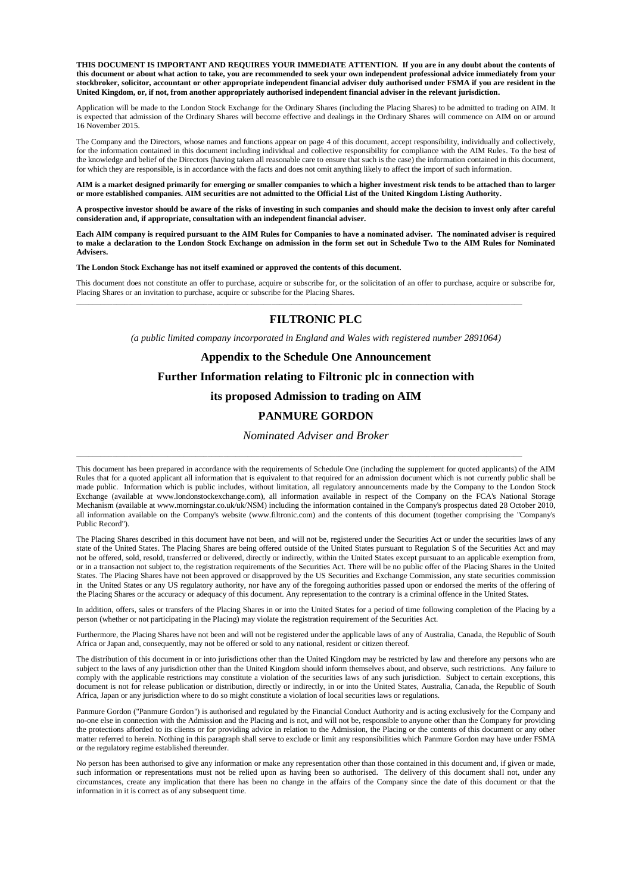**THIS DOCUMENT IS IMPORTANT AND REQUIRES YOUR IMMEDIATE ATTENTION. If you are in any doubt about the contents of this document or about what action to take, you are recommended to seek your own independent professional advice immediately from your stockbroker, solicitor, accountant or other appropriate independent financial adviser duly authorised under FSMA if you are resident in the United Kingdom, or, if not, from another appropriately authorised independent financial adviser in the relevant jurisdiction.**

Application will be made to the London Stock Exchange for the Ordinary Shares (including the Placing Shares) to be admitted to trading on AIM. It is expected that admission of the Ordinary Shares will become effective and dealings in the Ordinary Shares will commence on AIM on or around 16 November 2015.

The Company and the Directors, whose names and functions appear on page 4 of this document, accept responsibility, individually and collectively, for the information contained in this document including individual and collective responsibility for compliance with the AIM Rules. To the best of the knowledge and belief of the Directors (having taken all reasonable care to ensure that such is the case) the information contained in this document, for which they are responsible, is in accordance with the facts and does not omit anything likely to affect the import of such information.

**AIM is a market designed primarily for emerging or smaller companies to which a higher investment risk tends to be attached than to larger or more established companies. AIM securities are not admitted to the Official List of the United Kingdom Listing Authority.** 

**A prospective investor should be aware of the risks of investing in such companies and should make the decision to invest only after careful consideration and, if appropriate, consultation with an independent financial adviser.**

**Each AIM company is required pursuant to the AIM Rules for Companies to have a nominated adviser. The nominated adviser is required to make a declaration to the London Stock Exchange on admission in the form set out in Schedule Two to the AIM Rules for Nominated Advisers.**

**The London Stock Exchange has not itself examined or approved the contents of this document.**

This document does not constitute an offer to purchase, acquire or subscribe for, or the solicitation of an offer to purchase, acquire or subscribe for, Placing Shares or an invitation to purchase, acquire or subscribe for the Placing Shares.

\_\_\_\_\_\_\_\_\_\_\_\_\_\_\_\_\_\_\_\_\_\_\_\_\_\_\_\_\_\_\_\_\_\_\_\_\_\_\_\_\_\_\_\_\_\_\_\_\_\_\_\_\_\_\_\_\_\_\_\_\_\_\_\_\_\_\_\_\_\_\_\_\_\_\_\_\_\_\_\_\_\_\_\_\_\_\_\_\_\_\_\_\_\_\_\_\_\_\_\_\_\_\_\_\_\_\_\_\_\_\_\_

### **FILTRONIC PLC**

*(a public limited company incorporated in England and Wales with registered number 2891064)*

#### **Appendix to the Schedule One Announcement**

**Further Information relating to Filtronic plc in connection with** 

#### **its proposed Admission to trading on AIM**

#### **PANMURE GORDON**

#### *Nominated Adviser and Broker*

\_\_\_\_\_\_\_\_\_\_\_\_\_\_\_\_\_\_\_\_\_\_\_\_\_\_\_\_\_\_\_\_\_\_\_\_\_\_\_\_\_\_\_\_\_\_\_\_\_\_\_\_\_\_\_\_\_\_\_\_\_\_\_\_\_\_\_\_\_\_\_\_\_\_\_\_\_\_\_\_\_\_\_\_\_\_\_\_\_\_\_\_\_\_\_\_\_\_\_\_\_\_\_\_\_\_\_\_\_\_\_\_

This document has been prepared in accordance with the requirements of Schedule One (including the supplement for quoted applicants) of the AIM Rules that for a quoted applicant all information that is equivalent to that required for an admission document which is not currently public shall be made public. Information which is public includes, without limitation, all regulatory announcements made by the Company to the London Stock Exchange (available at www.londonstockexchange.com), all information available in respect of the Company on the FCA's National Storage Mechanism (available at www.morningstar.co.uk/uk/NSM) including the information contained in the Company's prospectus dated 28 October 2010, all information available on the Company's website (www.filtronic.com) and the contents of this document (together comprising the "Company's Public Record").

The Placing Shares described in this document have not been, and will not be, registered under the Securities Act or under the securities laws of any state of the United States. The Placing Shares are being offered outside of the United States pursuant to Regulation S of the Securities Act and may not be offered, sold, resold, transferred or delivered, directly or indirectly, within the United States except pursuant to an applicable exemption from, or in a transaction not subject to, the registration requirements of the Securities Act. There will be no public offer of the Placing Shares in the United States. The Placing Shares have not been approved or disapproved by the US Securities and Exchange Commission, any state securities commission in the United States or any US regulatory authority, nor have any of the foregoing authorities passed upon or endorsed the merits of the offering of the Placing Shares or the accuracy or adequacy of this document. Any representation to the contrary is a criminal offence in the United States.

In addition, offers, sales or transfers of the Placing Shares in or into the United States for a period of time following completion of the Placing by a person (whether or not participating in the Placing) may violate the registration requirement of the Securities Act.

Furthermore, the Placing Shares have not been and will not be registered under the applicable laws of any of Australia, Canada, the Republic of South Africa or Japan and, consequently, may not be offered or sold to any national, resident or citizen thereof.

The distribution of this document in or into jurisdictions other than the United Kingdom may be restricted by law and therefore any persons who are subject to the laws of any jurisdiction other than the United Kingdom should inform themselves about, and observe, such restrictions. Any failure to comply with the applicable restrictions may constitute a violation of the securities laws of any such jurisdiction. Subject to certain exceptions, this document is not for release publication or distribution, directly or indirectly, in or into the United States, Australia, Canada, the Republic of South Africa, Japan or any jurisdiction where to do so might constitute a violation of local securities laws or regulations.

Panmure Gordon ("Panmure Gordon") is authorised and regulated by the Financial Conduct Authority and is acting exclusively for the Company and no-one else in connection with the Admission and the Placing and is not, and will not be, responsible to anyone other than the Company for providing the protections afforded to its clients or for providing advice in relation to the Admission, the Placing or the contents of this document or any other matter referred to herein. Nothing in this paragraph shall serve to exclude or limit any responsibilities which Panmure Gordon may have under FSMA or the regulatory regime established thereunder.

No person has been authorised to give any information or make any representation other than those contained in this document and, if given or made, such information or representations must not be relied upon as having been so authorised. The delivery of this document shall not, under any circumstances, create any implication that there has been no change in the affairs of the Company since the date of this document or that the information in it is correct as of any subsequent time.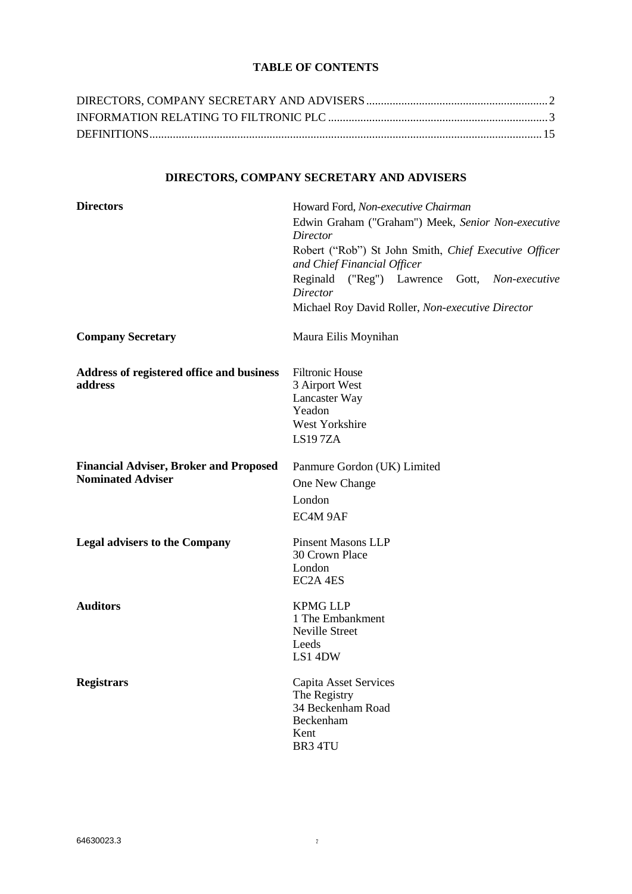# **TABLE OF CONTENTS**

<span id="page-1-0"></span>

# **DIRECTORS, COMPANY SECRETARY AND ADVISERS**

| <b>Directors</b>                                                          | Howard Ford, Non-executive Chairman<br>Edwin Graham ("Graham") Meek, Senior Non-executive<br>Director |
|---------------------------------------------------------------------------|-------------------------------------------------------------------------------------------------------|
|                                                                           | Robert ("Rob") St John Smith, Chief Executive Officer<br>and Chief Financial Officer                  |
|                                                                           | Reginald ("Reg") Lawrence Gott,<br>Non-executive<br><b>Director</b>                                   |
|                                                                           | Michael Roy David Roller, Non-executive Director                                                      |
| <b>Company Secretary</b>                                                  | Maura Eilis Moynihan                                                                                  |
| Address of registered office and business<br>address                      | <b>Filtronic House</b><br>3 Airport West<br>Lancaster Way<br>Yeadon<br>West Yorkshire<br>LS197ZA      |
| <b>Financial Adviser, Broker and Proposed</b><br><b>Nominated Adviser</b> | Panmure Gordon (UK) Limited<br>One New Change<br>London<br>EC4M 9AF                                   |
| <b>Legal advisers to the Company</b>                                      | <b>Pinsent Masons LLP</b><br>30 Crown Place<br>London<br>EC2A 4ES                                     |
| <b>Auditors</b>                                                           | <b>KPMG LLP</b><br>1 The Embankment<br>Neville Street<br>Leeds<br>LS1 4DW                             |
| <b>Registrars</b>                                                         | Capita Asset Services<br>The Registry<br>34 Beckenham Road<br>Beckenham<br>Kent<br>BR3 4TU            |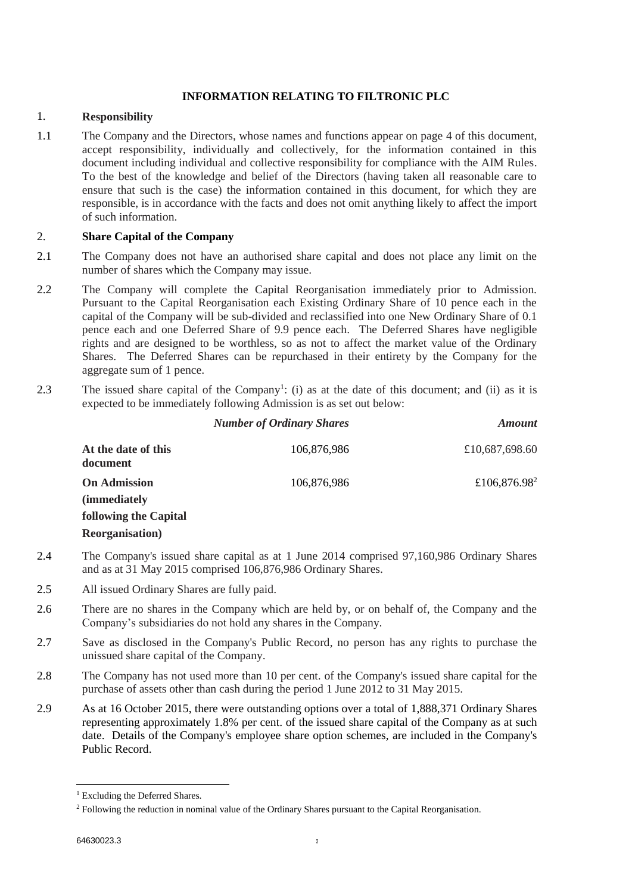# **INFORMATION RELATING TO FILTRONIC PLC**

### <span id="page-2-0"></span>1. **Responsibility**

1.1 The Company and the Directors, whose names and functions appear on page 4 of this document, accept responsibility, individually and collectively, for the information contained in this document including individual and collective responsibility for compliance with the AIM Rules. To the best of the knowledge and belief of the Directors (having taken all reasonable care to ensure that such is the case) the information contained in this document, for which they are responsible, is in accordance with the facts and does not omit anything likely to affect the import of such information.

# 2. **Share Capital of the Company**

- 2.1 The Company does not have an authorised share capital and does not place any limit on the number of shares which the Company may issue.
- 2.2 The Company will complete the Capital Reorganisation immediately prior to Admission. Pursuant to the Capital Reorganisation each Existing Ordinary Share of 10 pence each in the capital of the Company will be sub-divided and reclassified into one New Ordinary Share of 0.1 pence each and one Deferred Share of 9.9 pence each. The Deferred Shares have negligible rights and are designed to be worthless, so as not to affect the market value of the Ordinary Shares. The Deferred Shares can be repurchased in their entirety by the Company for the aggregate sum of 1 pence.
- 2.3 The issued share capital of the Company<sup>1</sup>: (i) as at the date of this document; and (ii) as it is expected to be immediately following Admission is as set out below:

|                                             | <b>Number of Ordinary Shares</b> | <b>Amount</b>            |
|---------------------------------------------|----------------------------------|--------------------------|
| At the date of this<br>document             | 106,876,986                      | £10,687,698.60           |
| <b>On Admission</b><br><i>(immediately)</i> | 106,876,986                      | £106,876.98 <sup>2</sup> |
| <b>following the Capital</b>                |                                  |                          |
| <b>Reorganisation</b> )                     |                                  |                          |

- 2.4 The Company's issued share capital as at 1 June 2014 comprised 97,160,986 Ordinary Shares and as at 31 May 2015 comprised 106,876,986 Ordinary Shares.
- 2.5 All issued Ordinary Shares are fully paid.
- 2.6 There are no shares in the Company which are held by, or on behalf of, the Company and the Company's subsidiaries do not hold any shares in the Company.
- 2.7 Save as disclosed in the Company's Public Record, no person has any rights to purchase the unissued share capital of the Company.
- 2.8 The Company has not used more than 10 per cent. of the Company's issued share capital for the purchase of assets other than cash during the period 1 June 2012 to 31 May 2015.
- 2.9 As at 16 October 2015, there were outstanding options over a total of 1,888,371 Ordinary Shares representing approximately 1.8% per cent. of the issued share capital of the Company as at such date. Details of the Company's employee share option schemes, are included in the Company's Public Record.

1

<sup>&</sup>lt;sup>1</sup> Excluding the Deferred Shares.

<sup>2</sup> Following the reduction in nominal value of the Ordinary Shares pursuant to the Capital Reorganisation.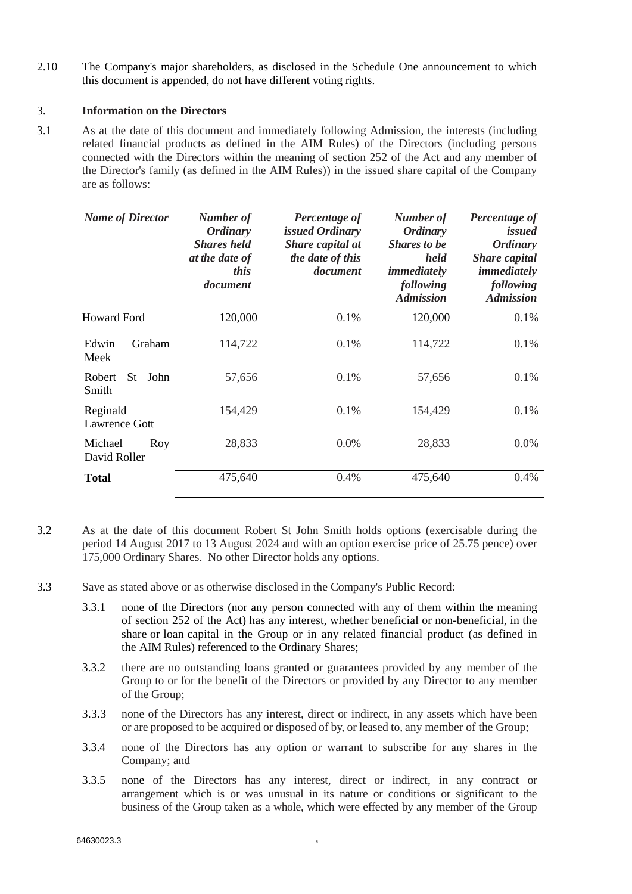2.10 The Company's major shareholders, as disclosed in the Schedule One announcement to which this document is appended, do not have different voting rights.

### 3. **Information on the Directors**

3.1 As at the date of this document and immediately following Admission, the interests (including related financial products as defined in the AIM Rules) of the Directors (including persons connected with the Directors within the meaning of section 252 of the Act and any member of the Director's family (as defined in the AIM Rules)) in the issued share capital of the Company are as follows:

| <b>Name of Director</b>         | Number of<br><i><b>Ordinary</b></i><br><b>Shares</b> held<br>at the date of<br>this<br>document | Percentage of<br>issued Ordinary<br>Share capital at<br>the date of this<br>document | Number of<br><b>Ordinary</b><br><b>Shares to be</b><br>held<br>immediately<br>following<br><b>Admission</b> | Percentage of<br>issued<br><b>Ordinary</b><br><b>Share capital</b><br>immediately<br>following<br><b>Admission</b> |
|---------------------------------|-------------------------------------------------------------------------------------------------|--------------------------------------------------------------------------------------|-------------------------------------------------------------------------------------------------------------|--------------------------------------------------------------------------------------------------------------------|
| <b>Howard Ford</b>              | 120,000                                                                                         | 0.1%                                                                                 | 120,000                                                                                                     | 0.1%                                                                                                               |
| Edwin<br>Graham<br>Meek         | 114,722                                                                                         | 0.1%                                                                                 | 114,722                                                                                                     | 0.1%                                                                                                               |
| Robert<br>John<br>St -<br>Smith | 57,656                                                                                          | 0.1%                                                                                 | 57,656                                                                                                      | 0.1%                                                                                                               |
| Reginald<br>Lawrence Gott       | 154,429                                                                                         | 0.1%                                                                                 | 154,429                                                                                                     | 0.1%                                                                                                               |
| Michael<br>Roy<br>David Roller  | 28,833                                                                                          | $0.0\%$                                                                              | 28,833                                                                                                      | $0.0\%$                                                                                                            |
| <b>Total</b>                    | 475,640                                                                                         | 0.4%                                                                                 | 475,640                                                                                                     | 0.4%                                                                                                               |

- 3.2 As at the date of this document Robert St John Smith holds options (exercisable during the period 14 August 2017 to 13 August 2024 and with an option exercise price of 25.75 pence) over 175,000 Ordinary Shares. No other Director holds any options.
- 3.3 Save as stated above or as otherwise disclosed in the Company's Public Record:
	- 3.3.1 none of the Directors (nor any person connected with any of them within the meaning of section 252 of the Act) has any interest, whether beneficial or non-beneficial, in the share or loan capital in the Group or in any related financial product (as defined in the AIM Rules) referenced to the Ordinary Shares;
	- 3.3.2 there are no outstanding loans granted or guarantees provided by any member of the Group to or for the benefit of the Directors or provided by any Director to any member of the Group;
	- 3.3.3 none of the Directors has any interest, direct or indirect, in any assets which have been or are proposed to be acquired or disposed of by, or leased to, any member of the Group;
	- 3.3.4 none of the Directors has any option or warrant to subscribe for any shares in the Company; and
	- 3.3.5 none of the Directors has any interest, direct or indirect, in any contract or arrangement which is or was unusual in its nature or conditions or significant to the business of the Group taken as a whole, which were effected by any member of the Group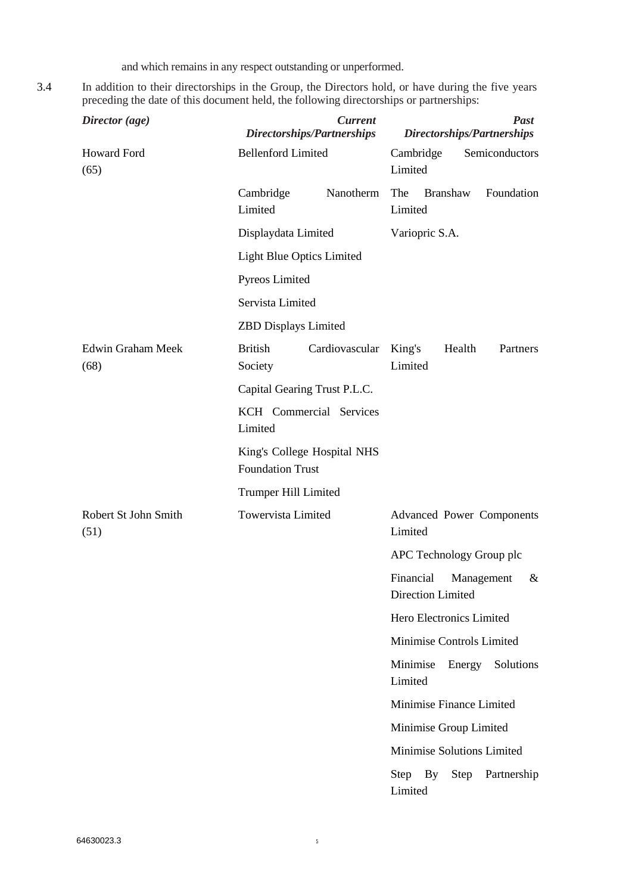and which remains in any respect outstanding or unperformed.

3.4 In addition to their directorships in the Group, the Directors hold, or have during the five years preceding the date of this document held, the following directorships or partnerships:

| Director (age)                   | Directorships/Partnerships                             | <b>Current</b> | <b>Past</b><br>Directorships/Partnerships                |
|----------------------------------|--------------------------------------------------------|----------------|----------------------------------------------------------|
| <b>Howard Ford</b><br>(65)       | <b>Bellenford Limited</b>                              |                | Semiconductors<br>Cambridge<br>Limited                   |
|                                  | Cambridge<br>Limited                                   | Nanotherm      | The<br>Foundation<br><b>Branshaw</b><br>Limited          |
|                                  | Displaydata Limited                                    |                | Variopric S.A.                                           |
|                                  | <b>Light Blue Optics Limited</b>                       |                |                                                          |
|                                  | Pyreos Limited                                         |                |                                                          |
|                                  | Servista Limited                                       |                |                                                          |
|                                  | <b>ZBD</b> Displays Limited                            |                |                                                          |
| <b>Edwin Graham Meek</b><br>(68) | <b>British</b><br>Society                              | Cardiovascular | King's<br>Health<br>Partners<br>Limited                  |
|                                  | Capital Gearing Trust P.L.C.                           |                |                                                          |
|                                  | KCH Commercial Services<br>Limited                     |                |                                                          |
|                                  | King's College Hospital NHS<br><b>Foundation Trust</b> |                |                                                          |
|                                  | Trumper Hill Limited                                   |                |                                                          |
| Robert St John Smith<br>(51)     | Towervista Limited                                     |                | <b>Advanced Power Components</b><br>Limited              |
|                                  |                                                        |                | APC Technology Group plc                                 |
|                                  |                                                        |                | Financial<br>Management<br>&<br><b>Direction Limited</b> |
|                                  |                                                        |                | Hero Electronics Limited                                 |
|                                  |                                                        |                | Minimise Controls Limited                                |
|                                  |                                                        |                | Minimise<br>Energy<br>Solutions<br>Limited               |
|                                  |                                                        |                | Minimise Finance Limited                                 |
|                                  |                                                        |                | Minimise Group Limited                                   |
|                                  |                                                        |                | Minimise Solutions Limited                               |
|                                  |                                                        |                | Step By<br>Step<br>Partnership<br>Limited                |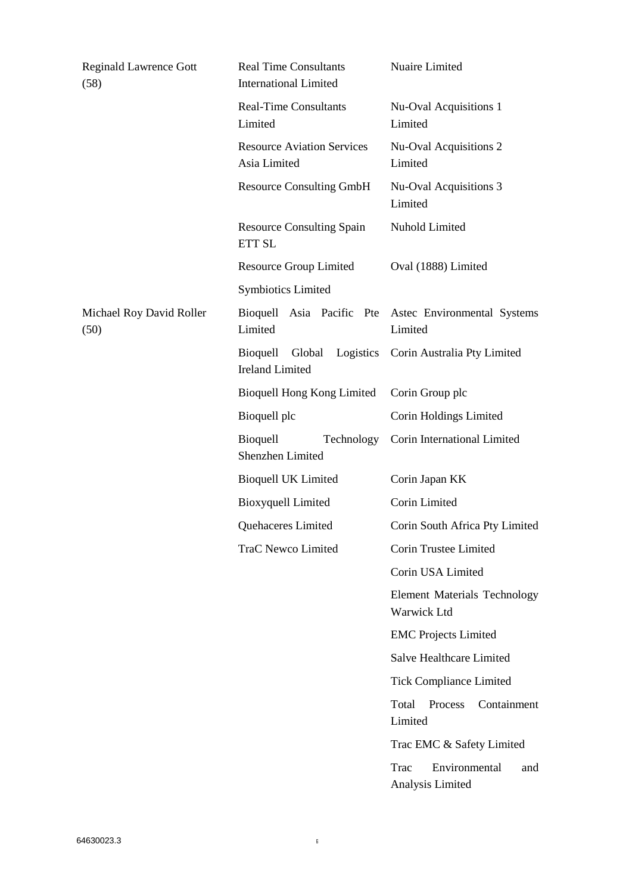| Bioquell Asia Pacific Pte Astec Environmental Systems |
|-------------------------------------------------------|
|                                                       |
|                                                       |
|                                                       |
|                                                       |
|                                                       |
|                                                       |
| Corin South Africa Pty Limited                        |
|                                                       |
|                                                       |
| <b>Element Materials Technology</b>                   |
|                                                       |
|                                                       |
|                                                       |
| Containment                                           |
| Trac EMC & Safety Limited                             |
| and                                                   |
|                                                       |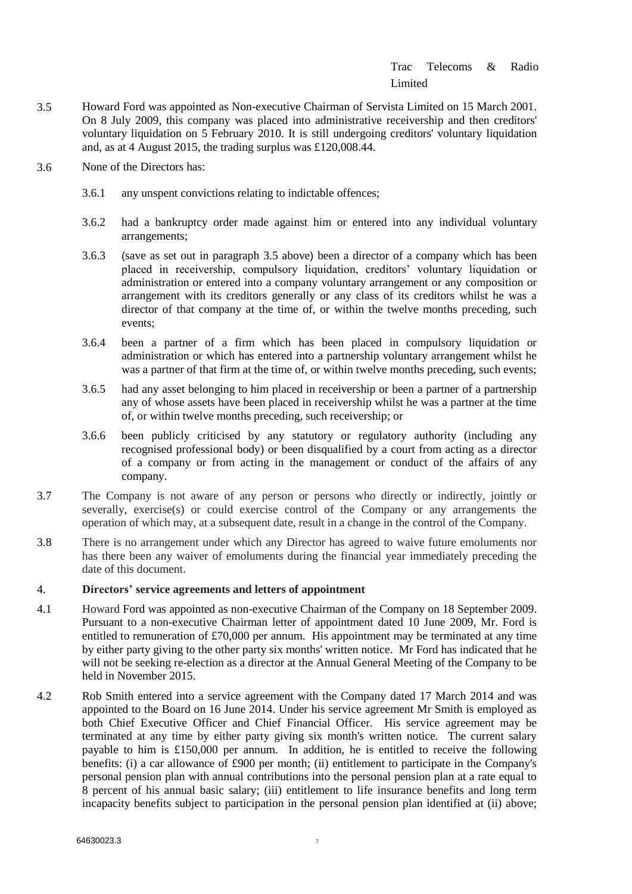# Trac Telecoms & Radio Limited

- <span id="page-6-0"></span>3.5 Howard Ford was appointed as Non-executive Chairman of Servista Limited on 15 March 2001. On 8 July 2009, this company was placed into administrative receivership and then creditors' voluntary liquidation on 5 February 2010. It is still undergoing creditors' voluntary liquidation and, as at 4 August 2015, the trading surplus was £120,008.44.
- 3.6 None of the Directors has:
	- 3.6.1 any unspent convictions relating to indictable offences;
	- 3.6.2 had a bankruptcy order made against him or entered into any individual voluntary arrangements;
	- 3.6.3 (save as set out in paragraph [3.5](#page-6-0) above) been a director of a company which has been placed in receivership, compulsory liquidation, creditors' voluntary liquidation or administration or entered into a company voluntary arrangement or any composition or arrangement with its creditors generally or any class of its creditors whilst he was a director of that company at the time of, or within the twelve months preceding, such events;
	- 3.6.4 been a partner of a firm which has been placed in compulsory liquidation or administration or which has entered into a partnership voluntary arrangement whilst he was a partner of that firm at the time of, or within twelve months preceding, such events;
	- 3.6.5 had any asset belonging to him placed in receivership or been a partner of a partnership any of whose assets have been placed in receivership whilst he was a partner at the time of, or within twelve months preceding, such receivership; or
	- 3.6.6 been publicly criticised by any statutory or regulatory authority (including any recognised professional body) or been disqualified by a court from acting as a director of a company or from acting in the management or conduct of the affairs of any company.
- 3.7 The Company is not aware of any person or persons who directly or indirectly, jointly or severally, exercise(s) or could exercise control of the Company or any arrangements the operation of which may, at a subsequent date, result in a change in the control of the Company.
- 3.8 There is no arrangement under which any Director has agreed to waive future emoluments nor has there been any waiver of emoluments during the financial year immediately preceding the date of this document.

# 4. **Directors' service agreements and letters of appointment**

- 4.1 Howard Ford was appointed as non-executive Chairman of the Company on 18 September 2009. Pursuant to a non-executive Chairman letter of appointment dated 10 June 2009, Mr. Ford is entitled to remuneration of £70,000 per annum. His appointment may be terminated at any time by either party giving to the other party six months' written notice. Mr Ford has indicated that he will not be seeking re-election as a director at the Annual General Meeting of the Company to be held in November 2015.
- 4.2 Rob Smith entered into a service agreement with the Company dated 17 March 2014 and was appointed to the Board on 16 June 2014. Under his service agreement Mr Smith is employed as both Chief Executive Officer and Chief Financial Officer. His service agreement may be terminated at any time by either party giving six month's written notice. The current salary payable to him is £150,000 per annum. In addition, he is entitled to receive the following benefits: (i) a car allowance of £900 per month; (ii) entitlement to participate in the Company's personal pension plan with annual contributions into the personal pension plan at a rate equal to 8 percent of his annual basic salary; (iii) entitlement to life insurance benefits and long term incapacity benefits subject to participation in the personal pension plan identified at (ii) above;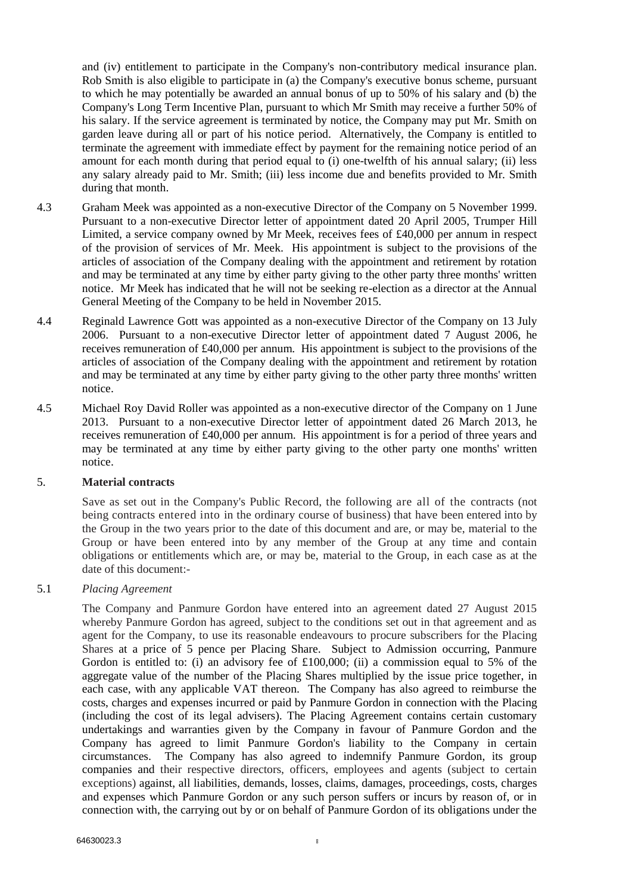and (iv) entitlement to participate in the Company's non-contributory medical insurance plan. Rob Smith is also eligible to participate in (a) the Company's executive bonus scheme, pursuant to which he may potentially be awarded an annual bonus of up to 50% of his salary and (b) the Company's Long Term Incentive Plan, pursuant to which Mr Smith may receive a further 50% of his salary. If the service agreement is terminated by notice, the Company may put Mr. Smith on garden leave during all or part of his notice period. Alternatively, the Company is entitled to terminate the agreement with immediate effect by payment for the remaining notice period of an amount for each month during that period equal to (i) one-twelfth of his annual salary; (ii) less any salary already paid to Mr. Smith; (iii) less income due and benefits provided to Mr. Smith during that month.

- 4.3 Graham Meek was appointed as a non-executive Director of the Company on 5 November 1999. Pursuant to a non-executive Director letter of appointment dated 20 April 2005, Trumper Hill Limited, a service company owned by Mr Meek, receives fees of £40,000 per annum in respect of the provision of services of Mr. Meek. His appointment is subject to the provisions of the articles of association of the Company dealing with the appointment and retirement by rotation and may be terminated at any time by either party giving to the other party three months' written notice. Mr Meek has indicated that he will not be seeking re-election as a director at the Annual General Meeting of the Company to be held in November 2015.
- 4.4 Reginald Lawrence Gott was appointed as a non-executive Director of the Company on 13 July 2006. Pursuant to a non-executive Director letter of appointment dated 7 August 2006, he receives remuneration of £40,000 per annum. His appointment is subject to the provisions of the articles of association of the Company dealing with the appointment and retirement by rotation and may be terminated at any time by either party giving to the other party three months' written notice.
- 4.5 Michael Roy David Roller was appointed as a non-executive director of the Company on 1 June 2013. Pursuant to a non-executive Director letter of appointment dated 26 March 2013, he receives remuneration of £40,000 per annum. His appointment is for a period of three years and may be terminated at any time by either party giving to the other party one months' written notice.

# 5. **Material contracts**

Save as set out in the Company's Public Record, the following are all of the contracts (not being contracts entered into in the ordinary course of business) that have been entered into by the Group in the two years prior to the date of this document and are, or may be, material to the Group or have been entered into by any member of the Group at any time and contain obligations or entitlements which are, or may be, material to the Group, in each case as at the date of this document:-

# 5.1 *Placing Agreement*

The Company and Panmure Gordon have entered into an agreement dated 27 August 2015 whereby Panmure Gordon has agreed, subject to the conditions set out in that agreement and as agent for the Company, to use its reasonable endeavours to procure subscribers for the Placing Shares at a price of 5 pence per Placing Share. Subject to Admission occurring, Panmure Gordon is entitled to: (i) an advisory fee of £100,000; (ii) a commission equal to 5% of the aggregate value of the number of the Placing Shares multiplied by the issue price together, in each case, with any applicable VAT thereon. The Company has also agreed to reimburse the costs, charges and expenses incurred or paid by Panmure Gordon in connection with the Placing (including the cost of its legal advisers). The Placing Agreement contains certain customary undertakings and warranties given by the Company in favour of Panmure Gordon and the Company has agreed to limit Panmure Gordon's liability to the Company in certain circumstances. The Company has also agreed to indemnify Panmure Gordon, its group companies and their respective directors, officers, employees and agents (subject to certain exceptions) against, all liabilities, demands, losses, claims, damages, proceedings, costs, charges and expenses which Panmure Gordon or any such person suffers or incurs by reason of, or in connection with, the carrying out by or on behalf of Panmure Gordon of its obligations under the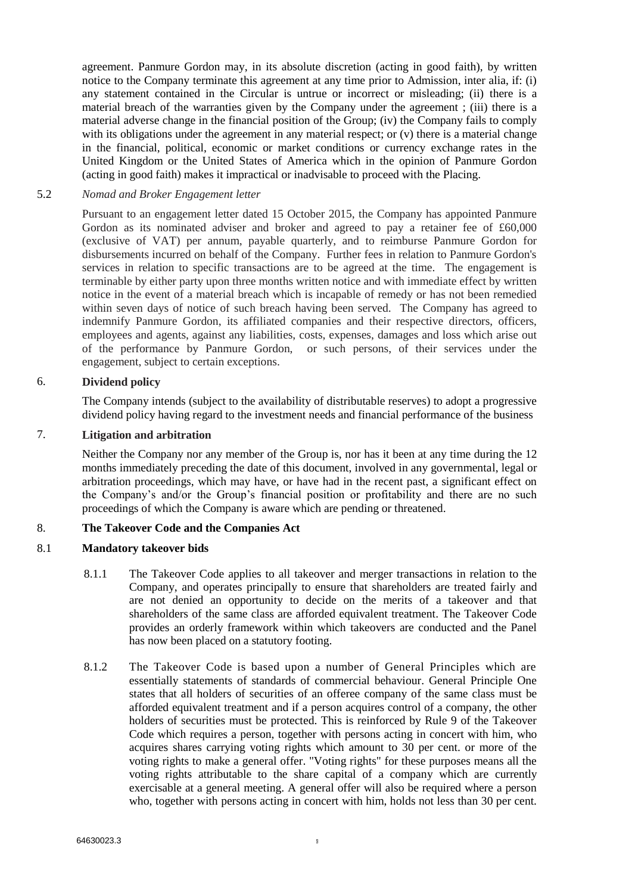agreement. Panmure Gordon may, in its absolute discretion (acting in good faith), by written notice to the Company terminate this agreement at any time prior to Admission, inter alia, if: (i) any statement contained in the Circular is untrue or incorrect or misleading; (ii) there is a material breach of the warranties given by the Company under the agreement ; (iii) there is a material adverse change in the financial position of the Group; (iv) the Company fails to comply with its obligations under the agreement in any material respect; or (v) there is a material change in the financial, political, economic or market conditions or currency exchange rates in the United Kingdom or the United States of America which in the opinion of Panmure Gordon (acting in good faith) makes it impractical or inadvisable to proceed with the Placing.

### 5.2 *Nomad and Broker Engagement letter*

Pursuant to an engagement letter dated 15 October 2015, the Company has appointed Panmure Gordon as its nominated adviser and broker and agreed to pay a retainer fee of £60,000 (exclusive of VAT) per annum, payable quarterly, and to reimburse Panmure Gordon for disbursements incurred on behalf of the Company. Further fees in relation to Panmure Gordon's services in relation to specific transactions are to be agreed at the time. The engagement is terminable by either party upon three months written notice and with immediate effect by written notice in the event of a material breach which is incapable of remedy or has not been remedied within seven days of notice of such breach having been served. The Company has agreed to indemnify Panmure Gordon, its affiliated companies and their respective directors, officers, employees and agents, against any liabilities, costs, expenses, damages and loss which arise out of the performance by Panmure Gordon, or such persons, of their services under the engagement, subject to certain exceptions.

### 6. **Dividend policy**

The Company intends (subject to the availability of distributable reserves) to adopt a progressive dividend policy having regard to the investment needs and financial performance of the business

# 7. **Litigation and arbitration**

Neither the Company nor any member of the Group is, nor has it been at any time during the 12 months immediately preceding the date of this document, involved in any governmental, legal or arbitration proceedings, which may have, or have had in the recent past, a significant effect on the Company's and/or the Group's financial position or profitability and there are no such proceedings of which the Company is aware which are pending or threatened.

# 8. **The Takeover Code and the Companies Act**

### 8.1 **Mandatory takeover bids**

- 8.1.1 The Takeover Code applies to all takeover and merger transactions in relation to the Company, and operates principally to ensure that shareholders are treated fairly and are not denied an opportunity to decide on the merits of a takeover and that shareholders of the same class are afforded equivalent treatment. The Takeover Code provides an orderly framework within which takeovers are conducted and the Panel has now been placed on a statutory footing.
- 8.1.2 The Takeover Code is based upon a number of General Principles which are essentially statements of standards of commercial behaviour. General Principle One states that all holders of securities of an offeree company of the same class must be afforded equivalent treatment and if a person acquires control of a company, the other holders of securities must be protected. This is reinforced by Rule 9 of the Takeover Code which requires a person, together with persons acting in concert with him, who acquires shares carrying voting rights which amount to 30 per cent. or more of the voting rights to make a general offer. "Voting rights" for these purposes means all the voting rights attributable to the share capital of a company which are currently exercisable at a general meeting. A general offer will also be required where a person who, together with persons acting in concert with him, holds not less than 30 per cent.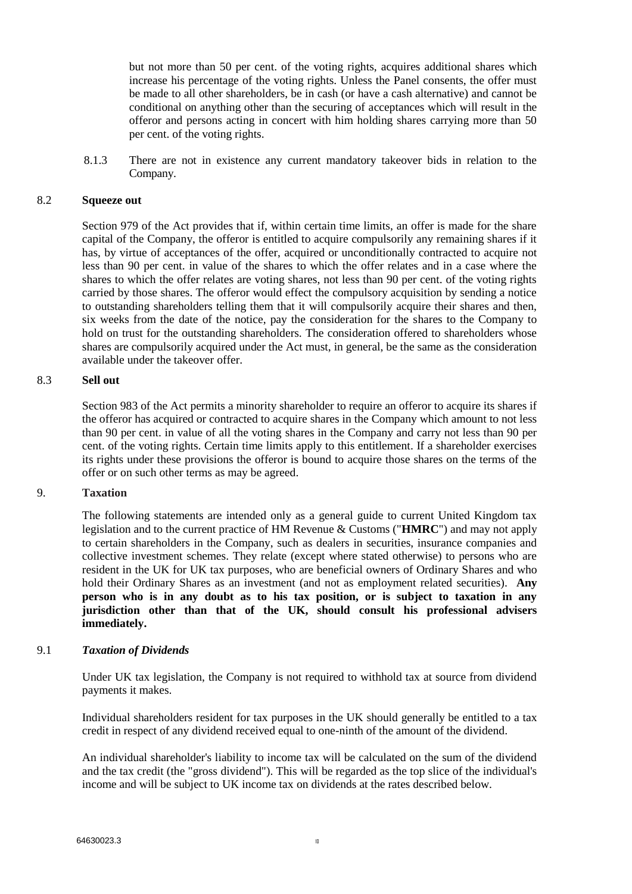but not more than 50 per cent. of the voting rights, acquires additional shares which increase his percentage of the voting rights. Unless the Panel consents, the offer must be made to all other shareholders, be in cash (or have a cash alternative) and cannot be conditional on anything other than the securing of acceptances which will result in the offeror and persons acting in concert with him holding shares carrying more than 50 per cent. of the voting rights.

8.1.3 There are not in existence any current mandatory takeover bids in relation to the Company.

### 8.2 **Squeeze out**

Section 979 of the Act provides that if, within certain time limits, an offer is made for the share capital of the Company, the offeror is entitled to acquire compulsorily any remaining shares if it has, by virtue of acceptances of the offer, acquired or unconditionally contracted to acquire not less than 90 per cent. in value of the shares to which the offer relates and in a case where the shares to which the offer relates are voting shares, not less than 90 per cent. of the voting rights carried by those shares. The offeror would effect the compulsory acquisition by sending a notice to outstanding shareholders telling them that it will compulsorily acquire their shares and then, six weeks from the date of the notice, pay the consideration for the shares to the Company to hold on trust for the outstanding shareholders. The consideration offered to shareholders whose shares are compulsorily acquired under the Act must, in general, be the same as the consideration available under the takeover offer.

#### 8.3 **Sell out**

Section 983 of the Act permits a minority shareholder to require an offeror to acquire its shares if the offeror has acquired or contracted to acquire shares in the Company which amount to not less than 90 per cent. in value of all the voting shares in the Company and carry not less than 90 per cent. of the voting rights. Certain time limits apply to this entitlement. If a shareholder exercises its rights under these provisions the offeror is bound to acquire those shares on the terms of the offer or on such other terms as may be agreed.

# 9. **Taxation**

The following statements are intended only as a general guide to current United Kingdom tax legislation and to the current practice of HM Revenue & Customs ("**HMRC**") and may not apply to certain shareholders in the Company, such as dealers in securities, insurance companies and collective investment schemes. They relate (except where stated otherwise) to persons who are resident in the UK for UK tax purposes, who are beneficial owners of Ordinary Shares and who hold their Ordinary Shares as an investment (and not as employment related securities). **Any person who is in any doubt as to his tax position, or is subject to taxation in any jurisdiction other than that of the UK, should consult his professional advisers immediately.**

#### 9.1 *Taxation of Dividends*

Under UK tax legislation, the Company is not required to withhold tax at source from dividend payments it makes.

Individual shareholders resident for tax purposes in the UK should generally be entitled to a tax credit in respect of any dividend received equal to one-ninth of the amount of the dividend.

An individual shareholder's liability to income tax will be calculated on the sum of the dividend and the tax credit (the "gross dividend"). This will be regarded as the top slice of the individual's income and will be subject to UK income tax on dividends at the rates described below.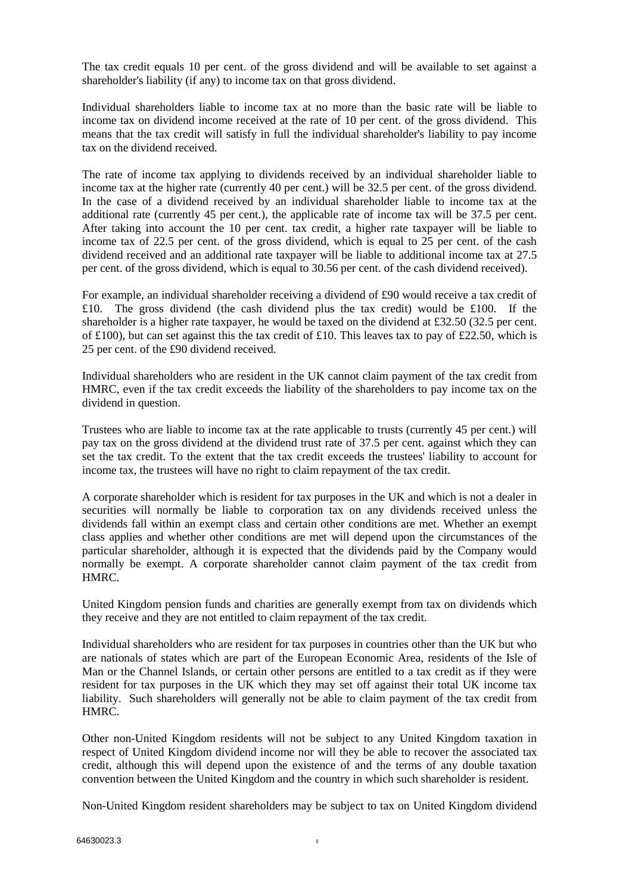The tax credit equals 10 per cent. of the gross dividend and will be available to set against a shareholder's liability (if any) to income tax on that gross dividend.

Individual shareholders liable to income tax at no more than the basic rate will be liable to income tax on dividend income received at the rate of 10 per cent. of the gross dividend. This means that the tax credit will satisfy in full the individual shareholder's liability to pay income tax on the dividend received.

The rate of income tax applying to dividends received by an individual shareholder liable to income tax at the higher rate (currently 40 per cent.) will be 32.5 per cent. of the gross dividend. In the case of a dividend received by an individual shareholder liable to income tax at the additional rate (currently 45 per cent.), the applicable rate of income tax will be 37.5 per cent. After taking into account the 10 per cent. tax credit, a higher rate taxpayer will be liable to income tax of 22.5 per cent. of the gross dividend, which is equal to 25 per cent. of the cash dividend received and an additional rate taxpayer will be liable to additional income tax at 27.5 per cent. of the gross dividend, which is equal to 30.56 per cent. of the cash dividend received).

For example, an individual shareholder receiving a dividend of £90 would receive a tax credit of £10. The gross dividend (the cash dividend plus the tax credit) would be £100. If the shareholder is a higher rate taxpayer, he would be taxed on the dividend at £32.50 (32.5 per cent. of £100), but can set against this the tax credit of £10. This leaves tax to pay of £22.50, which is 25 per cent. of the £90 dividend received.

Individual shareholders who are resident in the UK cannot claim payment of the tax credit from HMRC, even if the tax credit exceeds the liability of the shareholders to pay income tax on the dividend in question.

Trustees who are liable to income tax at the rate applicable to trusts (currently 45 per cent.) will pay tax on the gross dividend at the dividend trust rate of 37.5 per cent. against which they can set the tax credit. To the extent that the tax credit exceeds the trustees' liability to account for income tax, the trustees will have no right to claim repayment of the tax credit.

A corporate shareholder which is resident for tax purposes in the UK and which is not a dealer in securities will normally be liable to corporation tax on any dividends received unless the dividends fall within an exempt class and certain other conditions are met. Whether an exempt class applies and whether other conditions are met will depend upon the circumstances of the particular shareholder, although it is expected that the dividends paid by the Company would normally be exempt. A corporate shareholder cannot claim payment of the tax credit from HMRC.

United Kingdom pension funds and charities are generally exempt from tax on dividends which they receive and they are not entitled to claim repayment of the tax credit.

Individual shareholders who are resident for tax purposes in countries other than the UK but who are nationals of states which are part of the European Economic Area, residents of the Isle of Man or the Channel Islands, or certain other persons are entitled to a tax credit as if they were resident for tax purposes in the UK which they may set off against their total UK income tax liability. Such shareholders will generally not be able to claim payment of the tax credit from HMRC.

Other non-United Kingdom residents will not be subject to any United Kingdom taxation in respect of United Kingdom dividend income nor will they be able to recover the associated tax credit, although this will depend upon the existence of and the terms of any double taxation convention between the United Kingdom and the country in which such shareholder is resident.

Non-United Kingdom resident shareholders may be subject to tax on United Kingdom dividend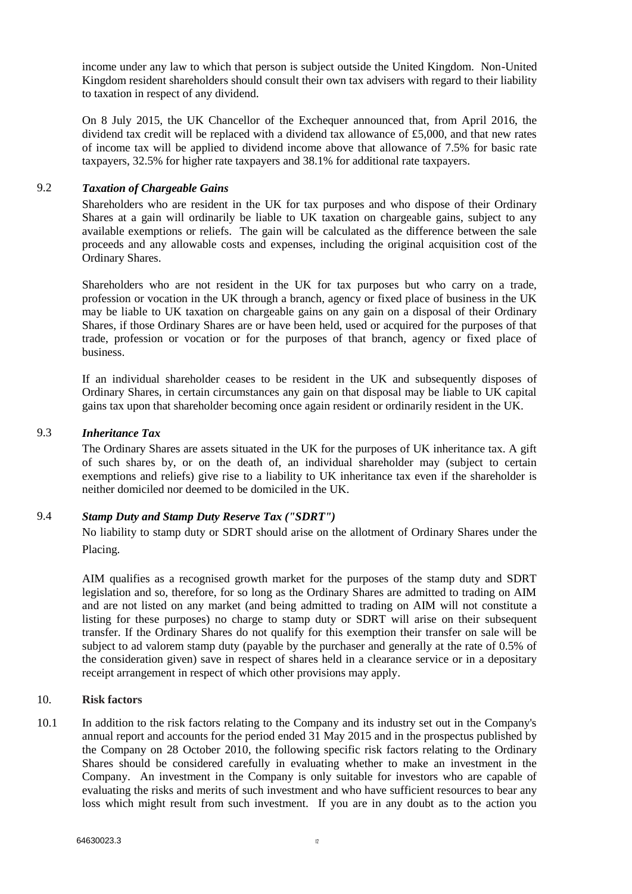income under any law to which that person is subject outside the United Kingdom. Non-United Kingdom resident shareholders should consult their own tax advisers with regard to their liability to taxation in respect of any dividend.

On 8 July 2015, the UK Chancellor of the Exchequer announced that, from April 2016, the dividend tax credit will be replaced with a dividend tax allowance of £5,000, and that new rates of income tax will be applied to dividend income above that allowance of 7.5% for basic rate taxpayers, 32.5% for higher rate taxpayers and 38.1% for additional rate taxpayers.

# 9.2 *Taxation of Chargeable Gains*

Shareholders who are resident in the UK for tax purposes and who dispose of their Ordinary Shares at a gain will ordinarily be liable to UK taxation on chargeable gains, subject to any available exemptions or reliefs. The gain will be calculated as the difference between the sale proceeds and any allowable costs and expenses, including the original acquisition cost of the Ordinary Shares.

Shareholders who are not resident in the UK for tax purposes but who carry on a trade, profession or vocation in the UK through a branch, agency or fixed place of business in the UK may be liable to UK taxation on chargeable gains on any gain on a disposal of their Ordinary Shares, if those Ordinary Shares are or have been held, used or acquired for the purposes of that trade, profession or vocation or for the purposes of that branch, agency or fixed place of business.

If an individual shareholder ceases to be resident in the UK and subsequently disposes of Ordinary Shares, in certain circumstances any gain on that disposal may be liable to UK capital gains tax upon that shareholder becoming once again resident or ordinarily resident in the UK.

# 9.3 *Inheritance Tax*

The Ordinary Shares are assets situated in the UK for the purposes of UK inheritance tax. A gift of such shares by, or on the death of, an individual shareholder may (subject to certain exemptions and reliefs) give rise to a liability to UK inheritance tax even if the shareholder is neither domiciled nor deemed to be domiciled in the UK.

# 9.4 *Stamp Duty and Stamp Duty Reserve Tax ("SDRT")*

No liability to stamp duty or SDRT should arise on the allotment of Ordinary Shares under the Placing.

AIM qualifies as a recognised growth market for the purposes of the stamp duty and SDRT legislation and so, therefore, for so long as the Ordinary Shares are admitted to trading on AIM and are not listed on any market (and being admitted to trading on AIM will not constitute a listing for these purposes) no charge to stamp duty or SDRT will arise on their subsequent transfer. If the Ordinary Shares do not qualify for this exemption their transfer on sale will be subject to ad valorem stamp duty (payable by the purchaser and generally at the rate of 0.5% of the consideration given) save in respect of shares held in a clearance service or in a depositary receipt arrangement in respect of which other provisions may apply.

# 10. **Risk factors**

10.1 In addition to the risk factors relating to the Company and its industry set out in the Company's annual report and accounts for the period ended 31 May 2015 and in the prospectus published by the Company on 28 October 2010, the following specific risk factors relating to the Ordinary Shares should be considered carefully in evaluating whether to make an investment in the Company. An investment in the Company is only suitable for investors who are capable of evaluating the risks and merits of such investment and who have sufficient resources to bear any loss which might result from such investment. If you are in any doubt as to the action you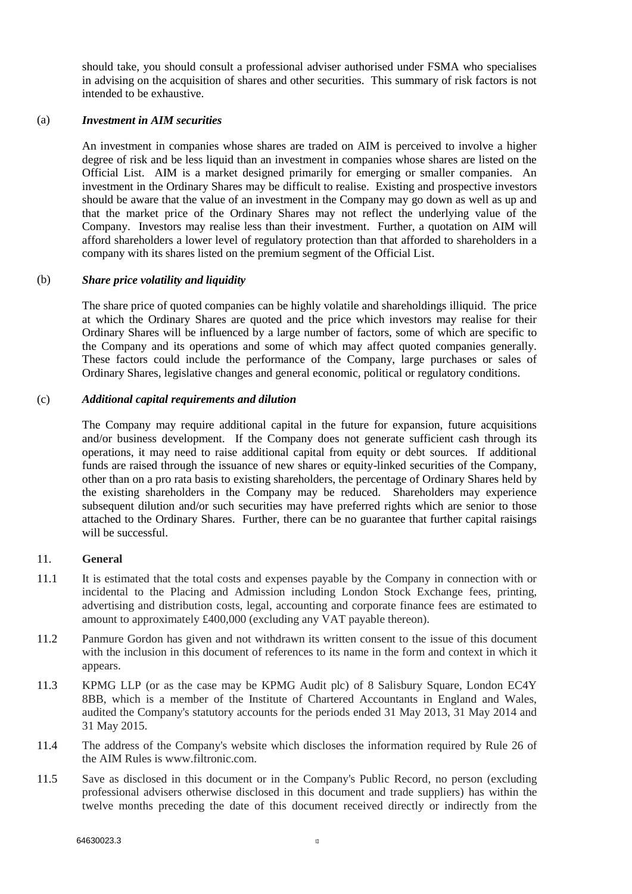should take, you should consult a professional adviser authorised under FSMA who specialises in advising on the acquisition of shares and other securities. This summary of risk factors is not intended to be exhaustive.

### (a) *Investment in AIM securities*

An investment in companies whose shares are traded on AIM is perceived to involve a higher degree of risk and be less liquid than an investment in companies whose shares are listed on the Official List. AIM is a market designed primarily for emerging or smaller companies. An investment in the Ordinary Shares may be difficult to realise. Existing and prospective investors should be aware that the value of an investment in the Company may go down as well as up and that the market price of the Ordinary Shares may not reflect the underlying value of the Company. Investors may realise less than their investment. Further, a quotation on AIM will afford shareholders a lower level of regulatory protection than that afforded to shareholders in a company with its shares listed on the premium segment of the Official List.

# (b) *Share price volatility and liquidity*

The share price of quoted companies can be highly volatile and shareholdings illiquid. The price at which the Ordinary Shares are quoted and the price which investors may realise for their Ordinary Shares will be influenced by a large number of factors, some of which are specific to the Company and its operations and some of which may affect quoted companies generally. These factors could include the performance of the Company, large purchases or sales of Ordinary Shares, legislative changes and general economic, political or regulatory conditions.

### (c) *Additional capital requirements and dilution*

The Company may require additional capital in the future for expansion, future acquisitions and/or business development. If the Company does not generate sufficient cash through its operations, it may need to raise additional capital from equity or debt sources. If additional funds are raised through the issuance of new shares or equity-linked securities of the Company, other than on a pro rata basis to existing shareholders, the percentage of Ordinary Shares held by the existing shareholders in the Company may be reduced. Shareholders may experience subsequent dilution and/or such securities may have preferred rights which are senior to those attached to the Ordinary Shares. Further, there can be no guarantee that further capital raisings will be successful.

#### 11. **General**

- 11.1 It is estimated that the total costs and expenses payable by the Company in connection with or incidental to the Placing and Admission including London Stock Exchange fees, printing, advertising and distribution costs, legal, accounting and corporate finance fees are estimated to amount to approximately £400,000 (excluding any VAT payable thereon).
- 11.2 Panmure Gordon has given and not withdrawn its written consent to the issue of this document with the inclusion in this document of references to its name in the form and context in which it appears.
- 11.3 KPMG LLP (or as the case may be KPMG Audit plc) of 8 Salisbury Square, London EC4Y 8BB, which is a member of the Institute of Chartered Accountants in England and Wales, audited the Company's statutory accounts for the periods ended 31 May 2013, 31 May 2014 and 31 May 2015.
- 11.4 The address of the Company's website which discloses the information required by Rule 26 of the AIM Rules is www.filtronic.com.
- 11.5 Save as disclosed in this document or in the Company's Public Record, no person (excluding professional advisers otherwise disclosed in this document and trade suppliers) has within the twelve months preceding the date of this document received directly or indirectly from the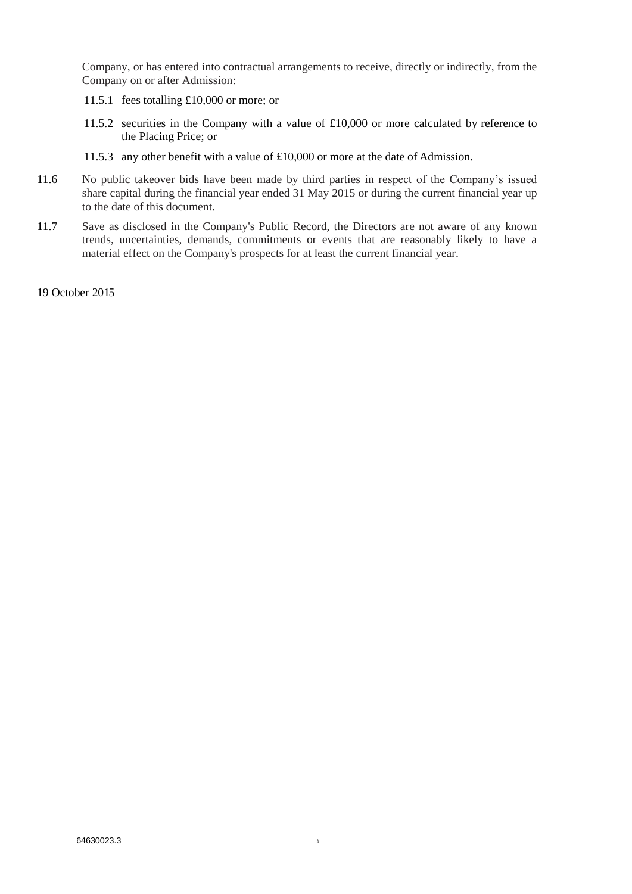Company, or has entered into contractual arrangements to receive, directly or indirectly, from the Company on or after Admission:

- 11.5.1 fees totalling £10,000 or more; or
- 11.5.2 securities in the Company with a value of £10,000 or more calculated by reference to the Placing Price; or
- 11.5.3 any other benefit with a value of £10,000 or more at the date of Admission.
- 11.6 No public takeover bids have been made by third parties in respect of the Company's issued share capital during the financial year ended 31 May 2015 or during the current financial year up to the date of this document.
- 11.7 Save as disclosed in the Company's Public Record, the Directors are not aware of any known trends, uncertainties, demands, commitments or events that are reasonably likely to have a material effect on the Company's prospects for at least the current financial year.

19 October 2015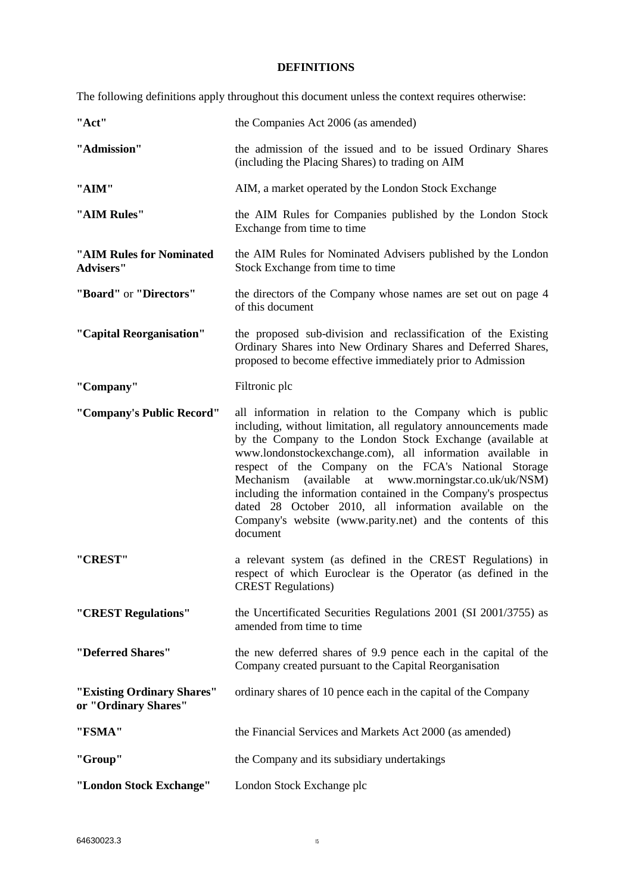# **DEFINITIONS**

<span id="page-14-0"></span>The following definitions apply throughout this document unless the context requires otherwise:

| "Act"                                              | the Companies Act 2006 (as amended)                                                                                                                                                                                                                                                                                                                                                                                                                                                                                                                                                    |
|----------------------------------------------------|----------------------------------------------------------------------------------------------------------------------------------------------------------------------------------------------------------------------------------------------------------------------------------------------------------------------------------------------------------------------------------------------------------------------------------------------------------------------------------------------------------------------------------------------------------------------------------------|
| "Admission"                                        | the admission of the issued and to be issued Ordinary Shares<br>(including the Placing Shares) to trading on AIM                                                                                                                                                                                                                                                                                                                                                                                                                                                                       |
| "AIM"                                              | AIM, a market operated by the London Stock Exchange                                                                                                                                                                                                                                                                                                                                                                                                                                                                                                                                    |
| "AIM Rules"                                        | the AIM Rules for Companies published by the London Stock<br>Exchange from time to time                                                                                                                                                                                                                                                                                                                                                                                                                                                                                                |
| "AIM Rules for Nominated<br><b>Advisers"</b>       | the AIM Rules for Nominated Advisers published by the London<br>Stock Exchange from time to time                                                                                                                                                                                                                                                                                                                                                                                                                                                                                       |
| "Board" or "Directors"                             | the directors of the Company whose names are set out on page 4<br>of this document                                                                                                                                                                                                                                                                                                                                                                                                                                                                                                     |
| "Capital Reorganisation"                           | the proposed sub-division and reclassification of the Existing<br>Ordinary Shares into New Ordinary Shares and Deferred Shares,<br>proposed to become effective immediately prior to Admission                                                                                                                                                                                                                                                                                                                                                                                         |
| "Company"                                          | Filtronic plc                                                                                                                                                                                                                                                                                                                                                                                                                                                                                                                                                                          |
| "Company's Public Record"                          | all information in relation to the Company which is public<br>including, without limitation, all regulatory announcements made<br>by the Company to the London Stock Exchange (available at<br>www.londonstockexchange.com), all information available in<br>respect of the Company on the FCA's National Storage<br>(available at www.morningstar.co.uk/uk/NSM)<br>Mechanism<br>including the information contained in the Company's prospectus<br>dated 28 October 2010, all information available on the<br>Company's website (www.parity.net) and the contents of this<br>document |
| "CREST"                                            | a relevant system (as defined in the CREST Regulations) in<br>respect of which Euroclear is the Operator (as defined in the<br><b>CREST Regulations)</b>                                                                                                                                                                                                                                                                                                                                                                                                                               |
| "CREST Regulations"                                | the Uncertificated Securities Regulations 2001 (SI 2001/3755) as<br>amended from time to time                                                                                                                                                                                                                                                                                                                                                                                                                                                                                          |
| "Deferred Shares"                                  | the new deferred shares of 9.9 pence each in the capital of the<br>Company created pursuant to the Capital Reorganisation                                                                                                                                                                                                                                                                                                                                                                                                                                                              |
| "Existing Ordinary Shares"<br>or "Ordinary Shares" | ordinary shares of 10 pence each in the capital of the Company                                                                                                                                                                                                                                                                                                                                                                                                                                                                                                                         |
| "FSMA"                                             | the Financial Services and Markets Act 2000 (as amended)                                                                                                                                                                                                                                                                                                                                                                                                                                                                                                                               |
| "Group"                                            | the Company and its subsidiary undertakings                                                                                                                                                                                                                                                                                                                                                                                                                                                                                                                                            |
| "London Stock Exchange"                            | London Stock Exchange plc                                                                                                                                                                                                                                                                                                                                                                                                                                                                                                                                                              |